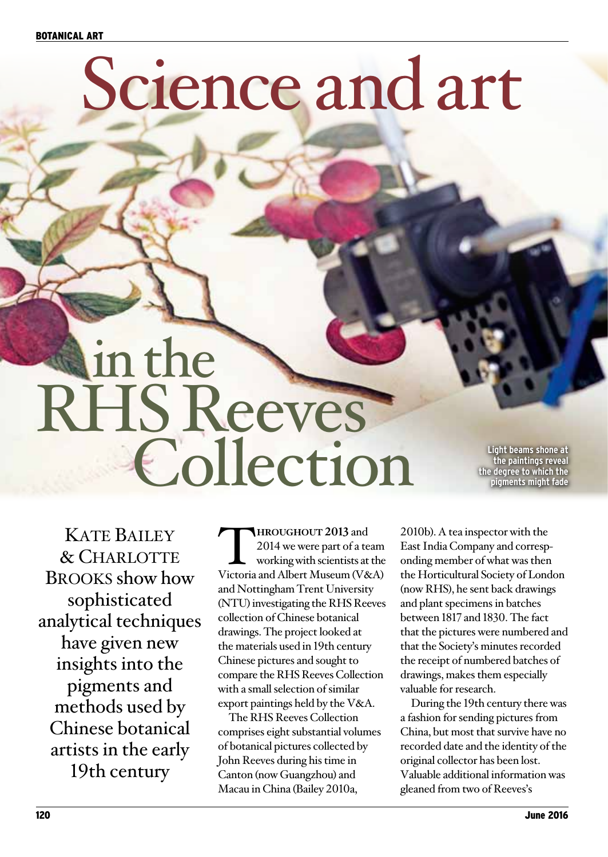# Science and art

# in the RHS Reeves **Collection Collection**

**the paintings reveal the degree to which the pigments might fade** 

**KATE BAILEY** & Charlotte Brooks show how sophisticated analytical techniques have given new insights into the pigments and methods used by Chinese botanical artists in the early 19th century

**THROUGHOUT 2013** and<br>
2014 we were part of a team<br>
working with scientists at the<br>
Victoria and Albert Museum (V&A) 2014 we were part of a team working with scientists at the and Nottingham Trent University (NTU) investigating the RHS Reeves collection of Chinese botanical drawings. The project looked at the materials used in 19th century Chinese pictures and sought to compare the RHS Reeves Collection with a small selection of similar export paintings held by the V&A.

The RHS Reeves Collection comprises eight substantial volumes of botanical pictures collected by John Reeves during his time in Canton (now Guangzhou) and Macau in China (Bailey 2010a,

2010b). A tea inspector with the East India Company and corresponding member of what was then the Horticultural Society of London (now RHS), he sent back drawings and plant specimens in batches between 1817 and 1830. The fact that the pictures were numbered and that the Society's minutes recorded the receipt of numbered batches of drawings, makes them especially valuable for research.

During the 19th century there was a fashion for sending pictures from China, but most that survive have no recorded date and the identity of the original collector has been lost. Valuable additional information was gleaned from two of Reeves's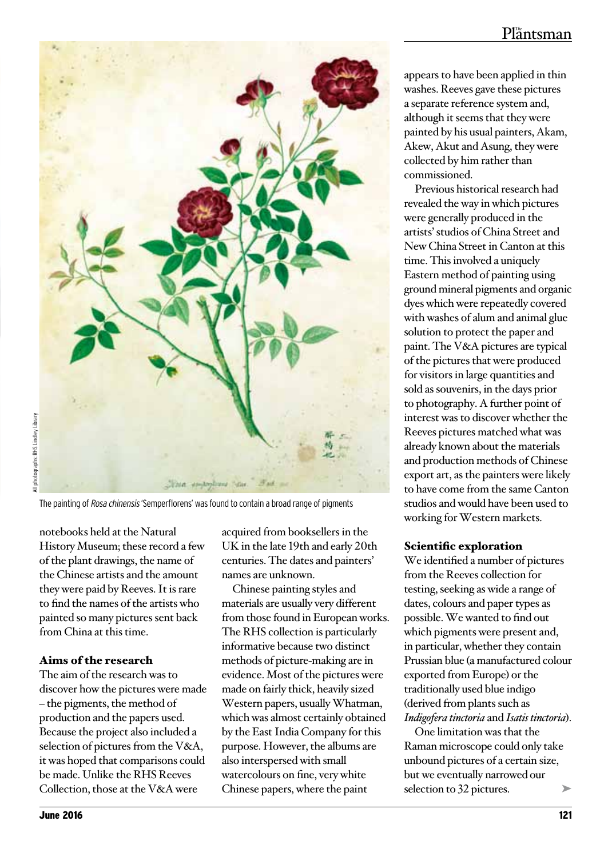# $Pl<sub>a</sub><sup>m</sup>$ ntsman



The painting of Rosa chinensis 'Semperflorens' was found to contain a broad range of pigments

notebooks held at the Natural History Museum; these record a few of the plant drawings, the name of the Chinese artists and the amount they were paid by Reeves. It is rare to find the names of the artists who painted so many pictures sent back from China at this time.

# Aims of the research

The aim of the research was to discover how the pictures were made – the pigments, the method of production and the papers used. Because the project also included a selection of pictures from the V&A, it was hoped that comparisons could be made. Unlike the RHS Reeves Collection, those at the V&A were

acquired from booksellers in the UK in the late 19th and early 20th centuries. The dates and painters' names are unknown.

Chinese painting styles and materials are usually very different from those found in European works. The RHS collection is particularly informative because two distinct methods of picture-making are in evidence. Most of the pictures were made on fairly thick, heavily sized Western papers, usually Whatman, which was almost certainly obtained by the East India Company for this purpose. However, the albums are also interspersed with small watercolours on fine, very white Chinese papers, where the paint

appears to have been applied in thin washes. Reeves gave these pictures a separate reference system and, although it seems that they were painted by his usual painters, Akam, Akew, Akut and Asung, they were collected by him rather than commissioned.

Previous historical research had revealed the way in which pictures were generally produced in the artists' studios of China Street and New China Street in Canton at this time. This involved a uniquely Eastern method of painting using ground mineral pigments and organic dyes which were repeatedly covered with washes of alum and animal glue solution to protect the paper and paint. The V&A pictures are typical of the pictures that were produced for visitors in large quantities and sold as souvenirs, in the days prior to photography. A further point of interest was to discover whether the Reeves pictures matched what was already known about the materials and production methods of Chinese export art, as the painters were likely to have come from the same Canton studios and would have been used to working for Western markets.

# Scientific exploration

We identified a number of pictures from the Reeves collection for testing, seeking as wide a range of dates, colours and paper types as possible. We wanted to find out which pigments were present and, in particular, whether they contain Prussian blue (a manufactured colour exported from Europe) or the traditionally used blue indigo (derived from plants such as *Indigofera tinctoria* and *Isatis tinctoria*).

➤ One limitation was that the Raman microscope could only take unbound pictures of a certain size, but we eventually narrowed our selection to 32 pictures.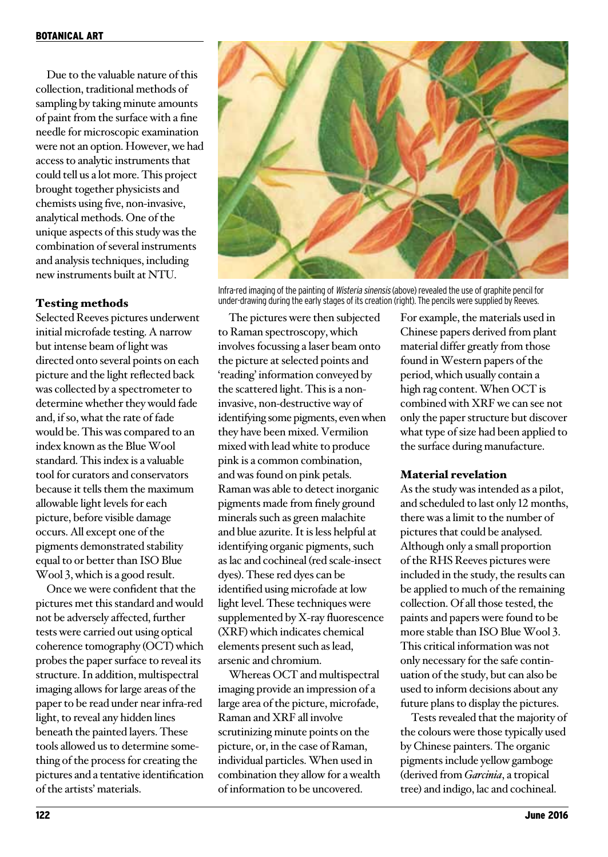Due to the valuable nature of this collection, traditional methods of sampling by taking minute amounts of paint from the surface with a fine needle for microscopic examination were not an option. However, we had access to analytic instruments that could tell us a lot more. This project brought together physicists and chemists using five, non-invasive, analytical methods. One of the unique aspects of this study was the combination of several instruments and analysis techniques, including new instruments built at NTU.

## Testing methods

Selected Reeves pictures underwent initial microfade testing. A narrow but intense beam of light was directed onto several points on each picture and the light reflected back was collected by a spectrometer to determine whether they would fade and, if so, what the rate of fade would be. This was compared to an index known as the Blue Wool standard. This index is a valuable tool for curators and conservators because it tells them the maximum allowable light levels for each picture, before visible damage occurs. All except one of the pigments demonstrated stability equal to or better than ISO Blue Wool 3, which is a good result.

Once we were confident that the pictures met this standard and would not be adversely affected, further tests were carried out using optical coherence tomography (OCT) which probes the paper surface to reveal its structure. In addition, multispectral imaging allows for large areas of the paper to be read under near infra-red light, to reveal any hidden lines beneath the painted layers. These tools allowed us to determine something of the process for creating the pictures and a tentative identification of the artists' materials.



Infra-red imaging of the painting of Wisteria sinensis (above) revealed the use of graphite pencil for under-drawing during the early stages of its creation (right). The pencils were supplied by Reeves.

The pictures were then subjected to Raman spectroscopy, which involves focussing a laser beam onto the picture at selected points and 'reading' information conveyed by the scattered light. This is a noninvasive, non-destructive way of identifying some pigments, even when they have been mixed. Vermilion mixed with lead white to produce pink is a common combination, and was found on pink petals. Raman was able to detect inorganic pigments made from finely ground minerals such as green malachite and blue azurite. It is less helpful at identifying organic pigments, such as lac and cochineal (red scale-insect dyes). These red dyes can be identified using microfade at low light level. These techniques were supplemented by X-ray fluorescence (XRF) which indicates chemical elements present such as lead, arsenic and chromium.

Whereas OCT and multispectral imaging provide an impression of a large area of the picture, microfade, Raman and XRF all involve scrutinizing minute points on the picture, or, in the case of Raman, individual particles. When used in combination they allow for a wealth of information to be uncovered.

For example, the materials used in Chinese papers derived from plant material differ greatly from those found in Western papers of the period, which usually contain a high rag content. When OCT is combined with XRF we can see not only the paper structure but discover what type of size had been applied to the surface during manufacture.

#### Material revelation

As the study was intended as a pilot, and scheduled to last only 12 months, there was a limit to the number of pictures that could be analysed. Although only a small proportion of the RHS Reeves pictures were included in the study, the results can be applied to much of the remaining collection. Of all those tested, the paints and papers were found to be more stable than ISO Blue Wool 3. This critical information was not only necessary for the safe continuation of the study, but can also be used to inform decisions about any future plans to display the pictures.

Tests revealed that the majority of the colours were those typically used by Chinese painters. The organic pigments include yellow gamboge (derived from *Garcinia*, a tropical tree) and indigo, lac and cochineal.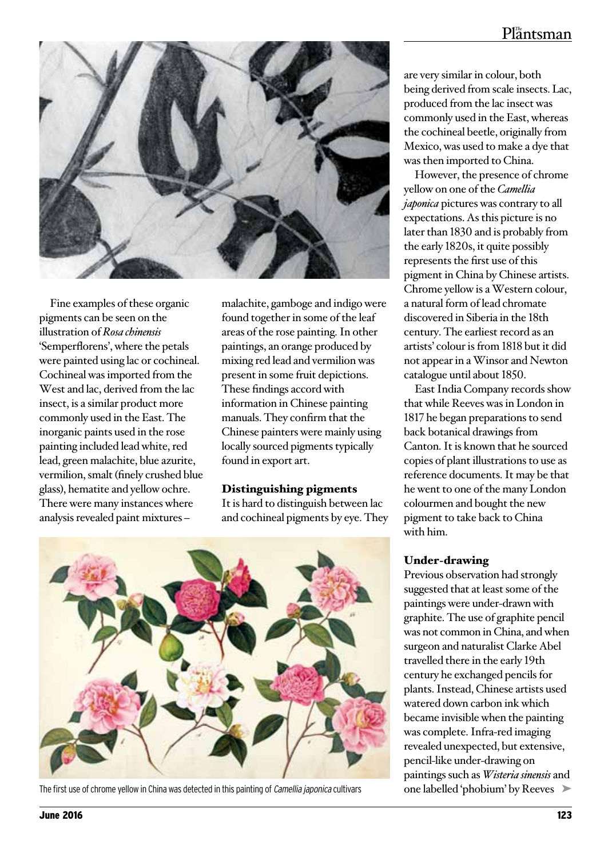# $Pl<sub>a</sub><sup>m</sup>$ ntsman



Fine examples of these organic pigments can be seen on the illustration of *Rosa chinensis* 'Semperflorens', where the petals were painted using lac or cochineal. Cochineal was imported from the West and lac, derived from the lac insect, is a similar product more commonly used in the East. The inorganic paints used in the rose painting included lead white, red lead, green malachite, blue azurite, vermilion, smalt (finely crushed blue glass), hematite and yellow ochre. There were many instances where analysis revealed paint mixtures –

malachite, gamboge and indigo were found together in some of the leaf areas of the rose painting. In other paintings, an orange produced by mixing red lead and vermilion was present in some fruit depictions. These findings accord with information in Chinese painting manuals. They confirm that the Chinese painters were mainly using locally sourced pigments typically found in export art.

#### Distinguishing pigments

It is hard to distinguish between lac and cochineal pigments by eye. They



The first use of chrome yellow in China was detected in this painting of Camellia japonica cultivars

are very similar in colour, both being derived from scale insects. Lac, produced from the lac insect was commonly used in the East, whereas the cochineal beetle, originally from Mexico, was used to make a dye that was then imported to China.

However, the presence of chrome yellow on one of the *Camellia japonica* pictures was contrary to all expectations. As this picture is no later than 1830 and is probably from the early 1820s, it quite possibly represents the first use of this pigment in China by Chinese artists. Chrome yellow is a Western colour, a natural form of lead chromate discovered in Siberia in the 18th century. The earliest record as an artists' colour is from 1818 but it did not appear in a Winsor and Newton catalogue until about 1850.

East India Company records show that while Reeves was in London in 1817 he began preparations to send back botanical drawings from Canton. It is known that he sourced copies of plant illustrations to use as reference documents. It may be that he went to one of the many London colourmen and bought the new pigment to take back to China with him.

#### Under-drawing

one labelled 'phobium' by Reeves ▶ Previous observation had strongly suggested that at least some of the paintings were under-drawn with graphite. The use of graphite pencil was not common in China, and when surgeon and naturalist Clarke Abel travelled there in the early 19th century he exchanged pencils for plants. Instead, Chinese artists used watered down carbon ink which became invisible when the painting was complete. Infra-red imaging revealed unexpected, but extensive, pencil-like under-drawing on paintings such as *Wisteria sinensis* and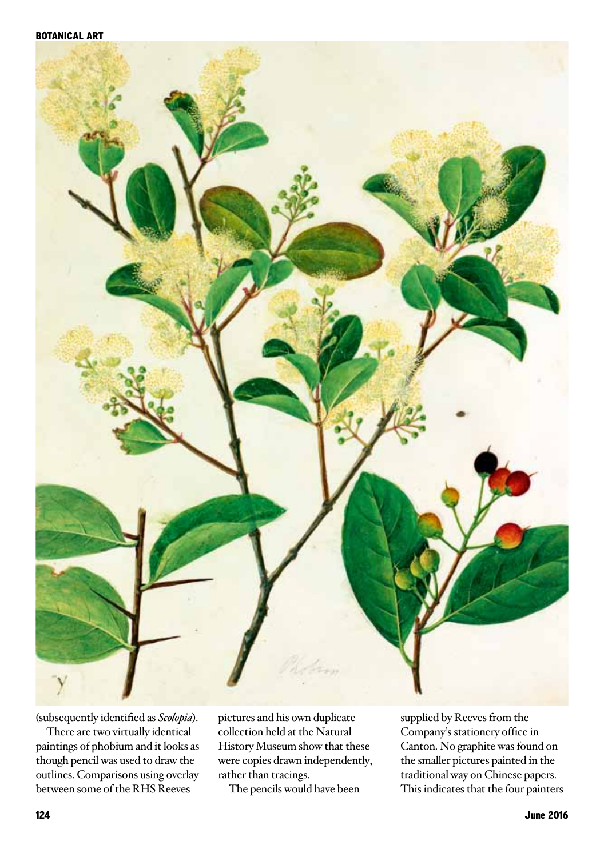

(subsequently identified as *Scolopia*).

There are two virtually identical paintings of phobium and it looks as though pencil was used to draw the outlines. Comparisons using overlay between some of the RHS Reeves

pictures and his own duplicate collection held at the Natural History Museum show that these were copies drawn independently, rather than tracings.

The pencils would have been

supplied by Reeves from the Company's stationery office in Canton. No graphite was found on the smaller pictures painted in the traditional way on Chinese papers. This indicates that the four painters